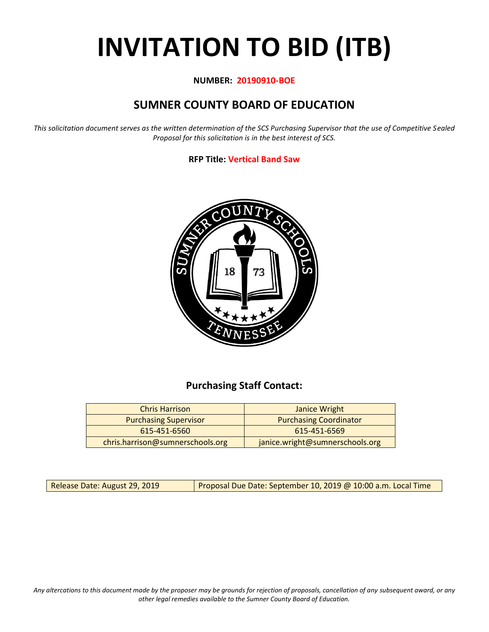# **INVITATION TO BID (ITB)**

#### **NUMBER: 20190910-BOE**

## **SUMNER COUNTY BOARD OF EDUCATION**

*This solicitation document serves as the written determination of the SCS Purchasing Supervisor that the use of Competitive Sealed Proposal for this solicitation is in the best interest of SCS.*

#### **RFP Title: Vertical Band Saw**



## **Purchasing Staff Contact:**

| <b>Chris Harrison</b>            | Janice Wright                   |
|----------------------------------|---------------------------------|
| <b>Purchasing Supervisor</b>     | <b>Purchasing Coordinator</b>   |
| 615-451-6560                     | 615-451-6569                    |
| chris.harrison@sumnerschools.org | janice.wright@sumnerschools.org |

Release Date: August 29, 2019 | Proposal Due Date: September 10, 2019 @ 10:00 a.m. Local Time

*Any altercations to this document made by the proposer may be grounds for rejection of proposals, cancellation of any subsequent award, or any other legal remedies available to the Sumner County Board of Education.*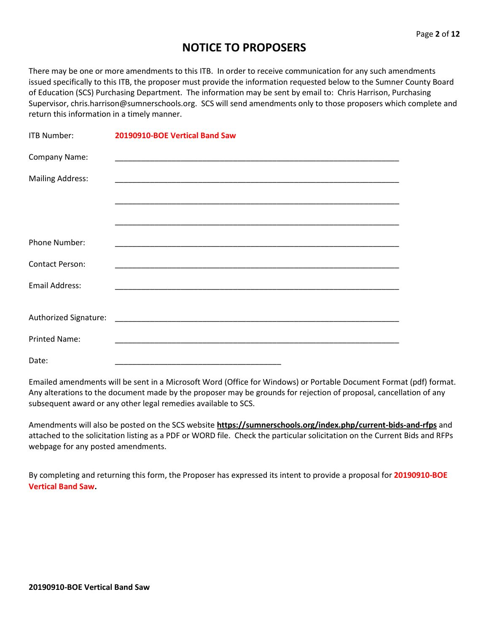## **NOTICE TO PROPOSERS**

There may be one or more amendments to this ITB. In order to receive communication for any such amendments issued specifically to this ITB, the proposer must provide the information requested below to the Sumner County Board of Education (SCS) Purchasing Department. The information may be sent by email to: Chris Harrison, Purchasing Supervisor, chris.harrison@sumnerschools.org. SCS will send amendments only to those proposers which complete and return this information in a timely manner.

| ITB Number:             | 20190910-BOE Vertical Band Saw                                                                                          |
|-------------------------|-------------------------------------------------------------------------------------------------------------------------|
| Company Name:           |                                                                                                                         |
| <b>Mailing Address:</b> |                                                                                                                         |
|                         | <u> 1989 - Johann John Stoff, deutscher Stoff als der Stoff als der Stoff als der Stoff als der Stoff als der Stoff</u> |
|                         |                                                                                                                         |
| Phone Number:           |                                                                                                                         |
| <b>Contact Person:</b>  |                                                                                                                         |
| <b>Email Address:</b>   |                                                                                                                         |
|                         |                                                                                                                         |
| <b>Printed Name:</b>    |                                                                                                                         |
| Date:                   |                                                                                                                         |

Emailed amendments will be sent in a Microsoft Word (Office for Windows) or Portable Document Format (pdf) format. Any alterations to the document made by the proposer may be grounds for rejection of proposal, cancellation of any subsequent award or any other legal remedies available to SCS.

Amendments will also be posted on the SCS website **https://sumnerschools.org/index.php/current-bids-and-rfps** and attached to the solicitation listing as a PDF or WORD file. Check the particular solicitation on the Current Bids and RFPs webpage for any posted amendments.

By completing and returning this form, the Proposer has expressed its intent to provide a proposal for **20190910-BOE Vertical Band Saw.**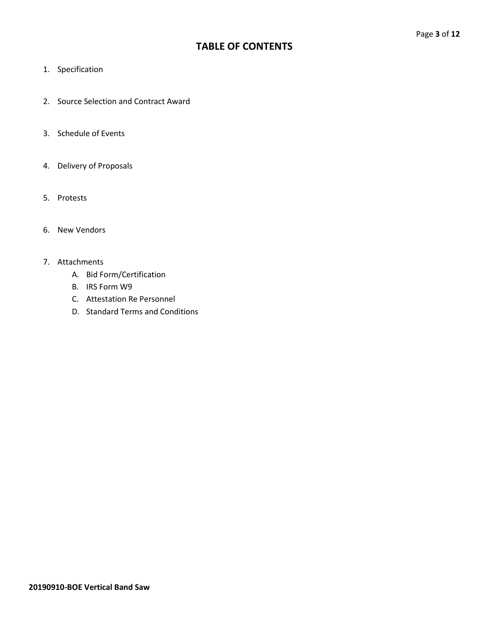## **TABLE OF CONTENTS**

- 1. Specification
- 2. Source Selection and Contract Award
- 3. Schedule of Events
- 4. Delivery of Proposals
- 5. Protests
- 6. New Vendors

#### 7. Attachments

- A. Bid Form/Certification
- B. IRS Form W9
- C. Attestation Re Personnel
- D. Standard Terms and Conditions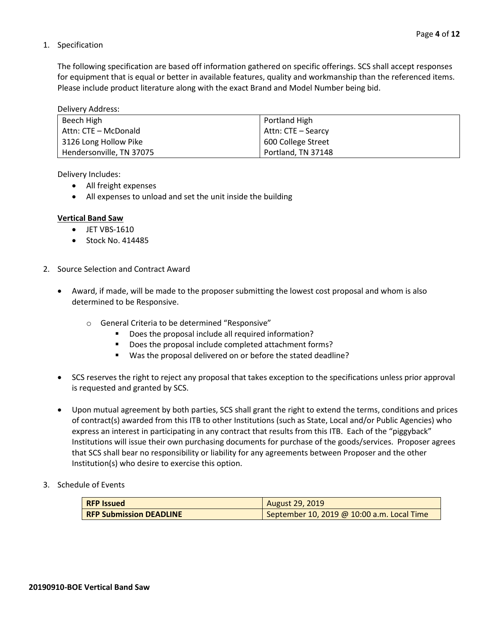#### 1. Specification

The following specification are based off information gathered on specific offerings. SCS shall accept responses for equipment that is equal or better in available features, quality and workmanship than the referenced items. Please include product literature along with the exact Brand and Model Number being bid.

Delivery Address:

| Beech High               | Portland High      |
|--------------------------|--------------------|
| Attn: CTE – McDonald     | Attn: CTE – Searcy |
| 3126 Long Hollow Pike    | 600 College Street |
| Hendersonville, TN 37075 | Portland, TN 37148 |

Delivery Includes:

- All freight expenses
- All expenses to unload and set the unit inside the building

#### **Vertical Band Saw**

- JET VBS-1610
- Stock No. 414485
- 2. Source Selection and Contract Award
	- Award, if made, will be made to the proposer submitting the lowest cost proposal and whom is also determined to be Responsive.
		- o General Criteria to be determined "Responsive"
			- Does the proposal include all required information?
			- Does the proposal include completed attachment forms?
			- Was the proposal delivered on or before the stated deadline?
	- SCS reserves the right to reject any proposal that takes exception to the specifications unless prior approval is requested and granted by SCS.
	- Upon mutual agreement by both parties, SCS shall grant the right to extend the terms, conditions and prices of contract(s) awarded from this ITB to other Institutions (such as State, Local and/or Public Agencies) who express an interest in participating in any contract that results from this ITB. Each of the "piggyback" Institutions will issue their own purchasing documents for purchase of the goods/services. Proposer agrees that SCS shall bear no responsibility or liability for any agreements between Proposer and the other Institution(s) who desire to exercise this option.
- 3. Schedule of Events

| <b>RFP Issued</b>              | August 29, 2019                            |
|--------------------------------|--------------------------------------------|
| <b>RFP Submission DEADLINE</b> | September 10, 2019 @ 10:00 a.m. Local Time |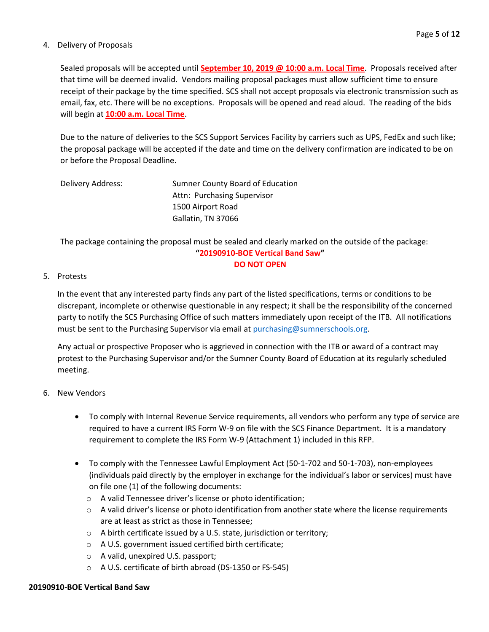#### 4. Delivery of Proposals

Sealed proposals will be accepted until **September 10, 2019 @ 10:00 a.m. Local Time**. Proposals received after that time will be deemed invalid. Vendors mailing proposal packages must allow sufficient time to ensure receipt of their package by the time specified. SCS shall not accept proposals via electronic transmission such as email, fax, etc. There will be no exceptions. Proposals will be opened and read aloud. The reading of the bids will begin at **10:00 a.m. Local Time**.

Due to the nature of deliveries to the SCS Support Services Facility by carriers such as UPS, FedEx and such like; the proposal package will be accepted if the date and time on the delivery confirmation are indicated to be on or before the Proposal Deadline.

| Delivery Address: | Sumner County Board of Education |
|-------------------|----------------------------------|
|                   | Attn: Purchasing Supervisor      |
|                   | 1500 Airport Road                |
|                   | Gallatin, TN 37066               |

The package containing the proposal must be sealed and clearly marked on the outside of the package: **"20190910-BOE Vertical Band Saw" DO NOT OPEN**

#### 5. Protests

In the event that any interested party finds any part of the listed specifications, terms or conditions to be discrepant, incomplete or otherwise questionable in any respect; it shall be the responsibility of the concerned party to notify the SCS Purchasing Office of such matters immediately upon receipt of the ITB. All notifications must be sent to the Purchasing Supervisor via email at [purchasing@sumnerschools.org.](mailto:purchasing@sumnerschools.org)

Any actual or prospective Proposer who is aggrieved in connection with the ITB or award of a contract may protest to the Purchasing Supervisor and/or the Sumner County Board of Education at its regularly scheduled meeting.

#### 6. New Vendors

- To comply with Internal Revenue Service requirements, all vendors who perform any type of service are required to have a current IRS Form W-9 on file with the SCS Finance Department. It is a mandatory requirement to complete the IRS Form W-9 (Attachment 1) included in this RFP.
- To comply with the Tennessee Lawful Employment Act (50-1-702 and 50-1-703), non-employees (individuals paid directly by the employer in exchange for the individual's labor or services) must have on file one (1) of the following documents:
	- o A valid Tennessee driver's license or photo identification;
	- $\circ$  A valid driver's license or photo identification from another state where the license requirements are at least as strict as those in Tennessee;
	- o A birth certificate issued by a U.S. state, jurisdiction or territory;
	- o A U.S. government issued certified birth certificate;
	- o A valid, unexpired U.S. passport;
	- o A U.S. certificate of birth abroad (DS-1350 or FS-545)

#### **20190910-BOE Vertical Band Saw**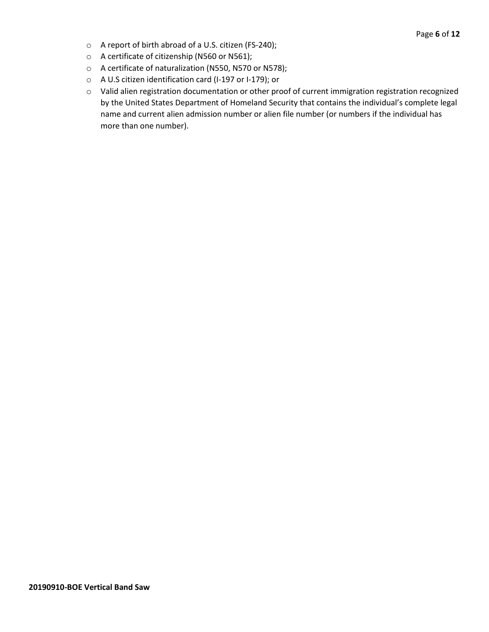- o A report of birth abroad of a U.S. citizen (FS-240);
- o A certificate of citizenship (N560 or N561);
- o A certificate of naturalization (N550, N570 or N578);
- o A U.S citizen identification card (I-197 or I-179); or
- o Valid alien registration documentation or other proof of current immigration registration recognized by the United States Department of Homeland Security that contains the individual's complete legal name and current alien admission number or alien file number (or numbers if the individual has more than one number).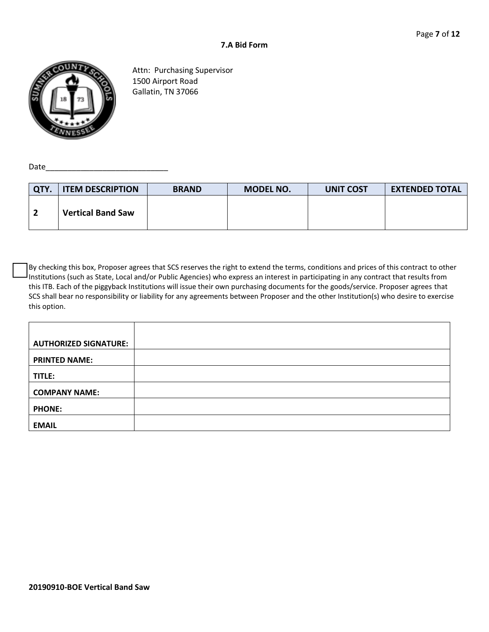

Attn: Purchasing Supervisor 1500 Airport Road Gallatin, TN 37066

Date $\__$ 

| QTY. | <b>ITEM DESCRIPTION</b>  | <b>BRAND</b> | MODEL NO. | <b>UNIT COST</b> | <b>EXTENDED TOTAL</b> |
|------|--------------------------|--------------|-----------|------------------|-----------------------|
|      | <b>Vertical Band Saw</b> |              |           |                  |                       |

By checking this box, Proposer agrees that SCS reserves the right to extend the terms, conditions and prices of this contract to other Institutions (such as State, Local and/or Public Agencies) who express an interest in participating in any contract that results from this ITB. Each of the piggyback Institutions will issue their own purchasing documents for the goods/service. Proposer agrees that SCS shall bear no responsibility or liability for any agreements between Proposer and the other Institution(s) who desire to exercise this option.

| <b>AUTHORIZED SIGNATURE:</b> |  |
|------------------------------|--|
| <b>PRINTED NAME:</b>         |  |
| TITLE:                       |  |
| <b>COMPANY NAME:</b>         |  |
| <b>PHONE:</b>                |  |
| <b>EMAIL</b>                 |  |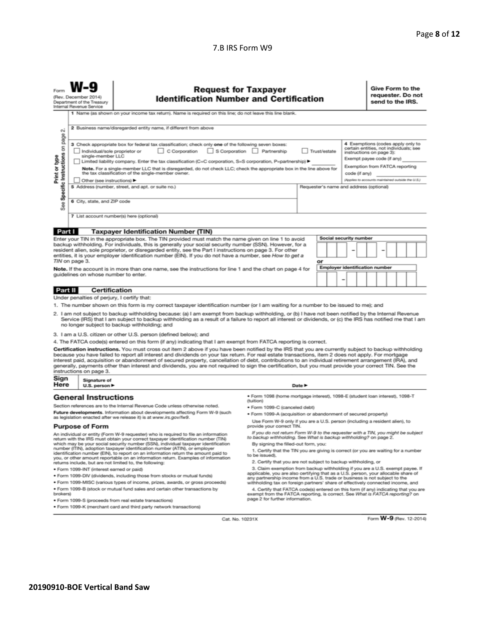#### 7.B IRS Form W9

|                                                                                                                                                                                                                                                                                                                                                                                                                                                                                                                                                                                                                                                                                                                                                                       | (Rev. December 2014)<br>Department of the Treasury<br>Internal Revenue Service                                           | <b>Request for Taxpayer</b><br><b>Identification Number and Certification</b>                                                                                                                                    |                                                                                                                                                      |                                         |                                                   |   |  | Give Form to the<br>requester. Do not<br>send to the IRS. |  |  |  |
|-----------------------------------------------------------------------------------------------------------------------------------------------------------------------------------------------------------------------------------------------------------------------------------------------------------------------------------------------------------------------------------------------------------------------------------------------------------------------------------------------------------------------------------------------------------------------------------------------------------------------------------------------------------------------------------------------------------------------------------------------------------------------|--------------------------------------------------------------------------------------------------------------------------|------------------------------------------------------------------------------------------------------------------------------------------------------------------------------------------------------------------|------------------------------------------------------------------------------------------------------------------------------------------------------|-----------------------------------------|---------------------------------------------------|---|--|-----------------------------------------------------------|--|--|--|
|                                                                                                                                                                                                                                                                                                                                                                                                                                                                                                                                                                                                                                                                                                                                                                       |                                                                                                                          | 1 Name (as shown on your income tax return). Name is required on this line; do not leave this line blank.                                                                                                        |                                                                                                                                                      |                                         |                                                   |   |  |                                                           |  |  |  |
| σû                                                                                                                                                                                                                                                                                                                                                                                                                                                                                                                                                                                                                                                                                                                                                                    |                                                                                                                          | 2 Business name/disregarded entity name, if different from above                                                                                                                                                 |                                                                                                                                                      |                                         |                                                   |   |  |                                                           |  |  |  |
| Specific Instructions on page<br>4 Exemptions (codes apply only to<br>3 Check appropriate box for federal tax classification; check only one of the following seven boxes:<br>certain entities, not individuals; see<br>C Corporation<br>S Corporation   Partnership<br>Trust/estate<br>Individual/sole proprietor or<br>instructions on page 3):<br>single-member LLC<br>Print or type<br>Exempt payee code (if any)<br>Limited liability company. Enter the tax classification (C=C corporation, S=S corporation, P=partnership) ▶<br>Exemption from FATCA reporting<br>Note. For a single-member LLC that is disregarded, do not check LLC; check the appropriate box in the line above for<br>the tax classification of the single-member owner.<br>code (if any) |                                                                                                                          |                                                                                                                                                                                                                  |                                                                                                                                                      |                                         | (Applies to accounts maintained outside the U.S.) |   |  |                                                           |  |  |  |
|                                                                                                                                                                                                                                                                                                                                                                                                                                                                                                                                                                                                                                                                                                                                                                       | Other (see instructions)                                                                                                 | 5 Address (number, street, and apt. or suite no.)                                                                                                                                                                |                                                                                                                                                      | Requester's name and address (optional) |                                                   |   |  |                                                           |  |  |  |
|                                                                                                                                                                                                                                                                                                                                                                                                                                                                                                                                                                                                                                                                                                                                                                       |                                                                                                                          |                                                                                                                                                                                                                  |                                                                                                                                                      |                                         |                                                   |   |  |                                                           |  |  |  |
| See                                                                                                                                                                                                                                                                                                                                                                                                                                                                                                                                                                                                                                                                                                                                                                   | 6 City, state, and ZIP code                                                                                              |                                                                                                                                                                                                                  |                                                                                                                                                      |                                         |                                                   |   |  |                                                           |  |  |  |
|                                                                                                                                                                                                                                                                                                                                                                                                                                                                                                                                                                                                                                                                                                                                                                       |                                                                                                                          | 7 List account number(s) here (optional)                                                                                                                                                                         |                                                                                                                                                      |                                         |                                                   |   |  |                                                           |  |  |  |
|                                                                                                                                                                                                                                                                                                                                                                                                                                                                                                                                                                                                                                                                                                                                                                       |                                                                                                                          |                                                                                                                                                                                                                  |                                                                                                                                                      |                                         |                                                   |   |  |                                                           |  |  |  |
| Part I                                                                                                                                                                                                                                                                                                                                                                                                                                                                                                                                                                                                                                                                                                                                                                |                                                                                                                          | <b>Taxpayer Identification Number (TIN)</b>                                                                                                                                                                      |                                                                                                                                                      |                                         |                                                   |   |  |                                                           |  |  |  |
|                                                                                                                                                                                                                                                                                                                                                                                                                                                                                                                                                                                                                                                                                                                                                                       |                                                                                                                          | Enter your TIN in the appropriate box. The TIN provided must match the name given on line 1 to avoid<br>backup withholding. For individuals, this is generally your social security number (SSN). However, for a |                                                                                                                                                      |                                         | Social security number                            |   |  |                                                           |  |  |  |
|                                                                                                                                                                                                                                                                                                                                                                                                                                                                                                                                                                                                                                                                                                                                                                       |                                                                                                                          | resident alien, sole proprietor, or disregarded entity, see the Part I instructions on page 3. For other                                                                                                         |                                                                                                                                                      |                                         |                                                   | - |  |                                                           |  |  |  |
|                                                                                                                                                                                                                                                                                                                                                                                                                                                                                                                                                                                                                                                                                                                                                                       |                                                                                                                          | entities, it is your employer identification number (EIN). If you do not have a number, see How to get a                                                                                                         |                                                                                                                                                      |                                         |                                                   |   |  |                                                           |  |  |  |
|                                                                                                                                                                                                                                                                                                                                                                                                                                                                                                                                                                                                                                                                                                                                                                       | TIN on page 3.                                                                                                           |                                                                                                                                                                                                                  |                                                                                                                                                      | or                                      | <b>Employer identification number</b>             |   |  |                                                           |  |  |  |
|                                                                                                                                                                                                                                                                                                                                                                                                                                                                                                                                                                                                                                                                                                                                                                       | guidelines on whose number to enter.                                                                                     | Note. If the account is in more than one name, see the instructions for line 1 and the chart on page 4 for                                                                                                       |                                                                                                                                                      |                                         |                                                   |   |  |                                                           |  |  |  |
|                                                                                                                                                                                                                                                                                                                                                                                                                                                                                                                                                                                                                                                                                                                                                                       |                                                                                                                          |                                                                                                                                                                                                                  |                                                                                                                                                      |                                         |                                                   |   |  |                                                           |  |  |  |
| Part II                                                                                                                                                                                                                                                                                                                                                                                                                                                                                                                                                                                                                                                                                                                                                               |                                                                                                                          | <b>Certification</b>                                                                                                                                                                                             |                                                                                                                                                      |                                         |                                                   |   |  |                                                           |  |  |  |
|                                                                                                                                                                                                                                                                                                                                                                                                                                                                                                                                                                                                                                                                                                                                                                       |                                                                                                                          | Under penalties of perjury, I certify that:                                                                                                                                                                      |                                                                                                                                                      |                                         |                                                   |   |  |                                                           |  |  |  |
|                                                                                                                                                                                                                                                                                                                                                                                                                                                                                                                                                                                                                                                                                                                                                                       |                                                                                                                          |                                                                                                                                                                                                                  |                                                                                                                                                      |                                         |                                                   |   |  |                                                           |  |  |  |
| 1. The number shown on this form is my correct taxpayer identification number (or I am waiting for a number to be issued to me); and<br>2. I am not subject to backup withholding because: (a) I am exempt from backup withholding, or (b) I have not been notified by the Internal Revenue<br>Service (IRS) that I am subject to backup withholding as a result of a failure to report all interest or dividends, or (c) the IRS has notified me that I am<br>no longer subject to backup withholding; and                                                                                                                                                                                                                                                           |                                                                                                                          |                                                                                                                                                                                                                  |                                                                                                                                                      |                                         |                                                   |   |  |                                                           |  |  |  |
| 3. I am a U.S. citizen or other U.S. person (defined below); and                                                                                                                                                                                                                                                                                                                                                                                                                                                                                                                                                                                                                                                                                                      |                                                                                                                          |                                                                                                                                                                                                                  |                                                                                                                                                      |                                         |                                                   |   |  |                                                           |  |  |  |
|                                                                                                                                                                                                                                                                                                                                                                                                                                                                                                                                                                                                                                                                                                                                                                       |                                                                                                                          | 4. The FATCA code(s) entered on this form (if any) indicating that I am exempt from FATCA reporting is correct.                                                                                                  |                                                                                                                                                      |                                         |                                                   |   |  |                                                           |  |  |  |
| Certification instructions. You must cross out item 2 above if you have been notified by the IRS that you are currently subject to backup withholding<br>because you have failed to report all interest and dividends on your tax return. For real estate transactions, item 2 does not apply. For mortgage<br>interest paid, acquisition or abandonment of secured property, cancellation of debt, contributions to an individual retirement arrangement (IRA), and<br>generally, payments other than interest and dividends, you are not required to sign the certification, but you must provide your correct TIN. See the<br>instructions on page 3.                                                                                                              |                                                                                                                          |                                                                                                                                                                                                                  |                                                                                                                                                      |                                         |                                                   |   |  |                                                           |  |  |  |
| Sign<br>Here                                                                                                                                                                                                                                                                                                                                                                                                                                                                                                                                                                                                                                                                                                                                                          | Signature of<br>U.S. person $\blacktriangleright$                                                                        |                                                                                                                                                                                                                  | Date $\blacktriangleright$                                                                                                                           |                                         |                                                   |   |  |                                                           |  |  |  |
|                                                                                                                                                                                                                                                                                                                                                                                                                                                                                                                                                                                                                                                                                                                                                                       | · Form 1098 (home mortgage interest), 1098-E (student Ioan interest), 1098-T<br><b>General Instructions</b><br>(tuition) |                                                                                                                                                                                                                  |                                                                                                                                                      |                                         |                                                   |   |  |                                                           |  |  |  |
|                                                                                                                                                                                                                                                                                                                                                                                                                                                                                                                                                                                                                                                                                                                                                                       |                                                                                                                          | Section references are to the Internal Revenue Code unless otherwise noted.                                                                                                                                      | · Form 1099-C (canceled debt)                                                                                                                        |                                         |                                                   |   |  |                                                           |  |  |  |
|                                                                                                                                                                                                                                                                                                                                                                                                                                                                                                                                                                                                                                                                                                                                                                       |                                                                                                                          | Future developments. Information about developments affecting Form W-9 (such<br>as legislation enacted after we release it) is at www.irs.gov/fw9.                                                               | . Form 1099-A (acquisition or abandonment of secured property)                                                                                       |                                         |                                                   |   |  |                                                           |  |  |  |
|                                                                                                                                                                                                                                                                                                                                                                                                                                                                                                                                                                                                                                                                                                                                                                       | <b>Purpose of Form</b>                                                                                                   |                                                                                                                                                                                                                  | Use Form W-9 only if you are a U.S. person (including a resident alien), to<br>provide your correct TIN.                                             |                                         |                                                   |   |  |                                                           |  |  |  |
|                                                                                                                                                                                                                                                                                                                                                                                                                                                                                                                                                                                                                                                                                                                                                                       |                                                                                                                          | An individual or entity (Form W-9 requester) who is required to file an information<br>return with the IRS must obtain your correct taxpayer identification number (TIN)                                         | If you do not return Form W-9 to the requester with a TIN, you might be subject<br>to backup withholding. See What is backup withholding? on page 2. |                                         |                                                   |   |  |                                                           |  |  |  |
|                                                                                                                                                                                                                                                                                                                                                                                                                                                                                                                                                                                                                                                                                                                                                                       |                                                                                                                          | which may be your social security number (SSN), individual taxpayer identification                                                                                                                               | By signing the filled-out form, you:                                                                                                                 |                                         |                                                   |   |  |                                                           |  |  |  |
|                                                                                                                                                                                                                                                                                                                                                                                                                                                                                                                                                                                                                                                                                                                                                                       |                                                                                                                          | number (ITIN), adoption taxpayer identification number (ATIN), or employer<br>identification number (EIN), to report on an information return the amount paid to                                                 | 1. Certify that the TIN you are giving is correct (or you are waiting for a number                                                                   |                                         |                                                   |   |  |                                                           |  |  |  |
|                                                                                                                                                                                                                                                                                                                                                                                                                                                                                                                                                                                                                                                                                                                                                                       |                                                                                                                          | you, or other amount reportable on an information return. Examples of information                                                                                                                                | to be issued).                                                                                                                                       |                                         |                                                   |   |  |                                                           |  |  |  |
| 2. Certify that you are not subject to backup withholding, or<br>returns include, but are not limited to, the following:                                                                                                                                                                                                                                                                                                                                                                                                                                                                                                                                                                                                                                              |                                                                                                                          |                                                                                                                                                                                                                  |                                                                                                                                                      |                                         |                                                   |   |  |                                                           |  |  |  |

- 
- · Form 1099-INT (interest earned or paid)
- . Form 1099-DIV (dividends, including those from stocks or mutual funds)
- · Form 1099-MISC (various types of income, prizes, awards, or gross proceeds) . Form 1099-B (stock or mutual fund sales and certain other transactions by brokers)
- · Form 1099-S (proceeds from real estate transactions)
- · Form 1099-K (merchant card and third party network transactions)
- 2. Certify that you are not subject to backup withholding, or
- 2. Certify that you are not subject to backup withholding, or<br>3. Claim exemption from backup withholding if you are a U.S. exempt payee. If<br>applicable, you are also certifying that as a U.S. person, your allocable share of

4. Certify that FATCA code(s) entered on this form (if any) indicating that you are<br>exempt from the FATCA reporting, is correct. See What is FATCA reporting?<br>page 2 for further information.

Cat. No. 10231X

Form W-9 (Rev. 12-2014)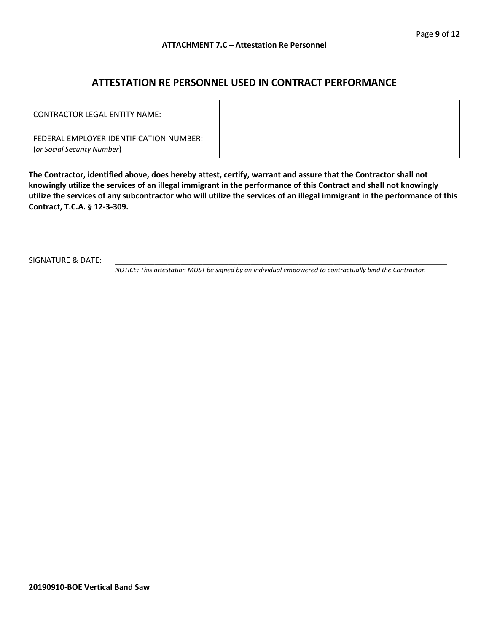### **ATTESTATION RE PERSONNEL USED IN CONTRACT PERFORMANCE**

| CONTRACTOR LEGAL ENTITY NAME:                                          |  |
|------------------------------------------------------------------------|--|
| FEDERAL EMPLOYER IDENTIFICATION NUMBER:<br>(or Social Security Number) |  |

**The Contractor, identified above, does hereby attest, certify, warrant and assure that the Contractor shall not knowingly utilize the services of an illegal immigrant in the performance of this Contract and shall not knowingly utilize the services of any subcontractor who will utilize the services of an illegal immigrant in the performance of this Contract, T.C.A. § 12-3-309.**

SIGNATURE & DATE:

*NOTICE: This attestation MUST be signed by an individual empowered to contractually bind the Contractor.*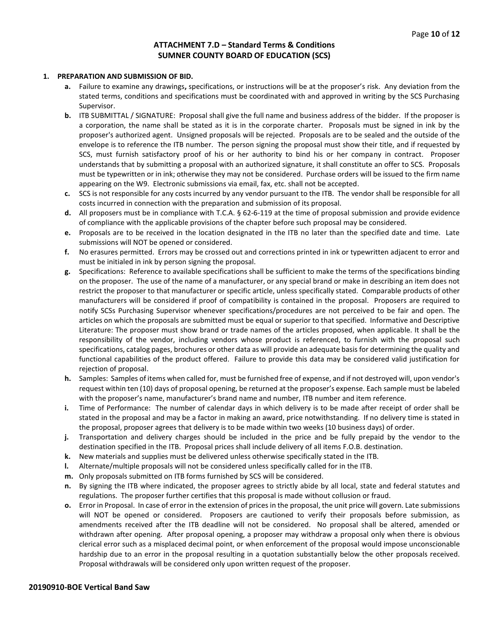#### **ATTACHMENT 7.D – Standard Terms & Conditions SUMNER COUNTY BOARD OF EDUCATION (SCS)**

#### **1. PREPARATION AND SUBMISSION OF BID.**

- **a.** Failure to examine any drawings**,** specifications, or instructions will be at the proposer's risk. Any deviation from the stated terms, conditions and specifications must be coordinated with and approved in writing by the SCS Purchasing Supervisor.
- **b.** ITB SUBMITTAL / SIGNATURE: Proposal shall give the full name and business address of the bidder. If the proposer is a corporation, the name shall be stated as it is in the corporate charter. Proposals must be signed in ink by the proposer's authorized agent. Unsigned proposals will be rejected. Proposals are to be sealed and the outside of the envelope is to reference the ITB number. The person signing the proposal must show their title, and if requested by SCS, must furnish satisfactory proof of his or her authority to bind his or her company in contract. Proposer understands that by submitting a proposal with an authorized signature, it shall constitute an offer to SCS. Proposals must be typewritten or in ink; otherwise they may not be considered. Purchase orders will be issued to the firm name appearing on the W9. Electronic submissions via email, fax, etc. shall not be accepted.
- **c.** SCS is not responsible for any costs incurred by any vendor pursuant to the ITB. The vendor shall be responsible for all costs incurred in connection with the preparation and submission of its proposal.
- **d.** All proposers must be in compliance with T.C.A. § 62-6-119 at the time of proposal submission and provide evidence of compliance with the applicable provisions of the chapter before such proposal may be considered.
- **e.** Proposals are to be received in the location designated in the ITB no later than the specified date and time. Late submissions will NOT be opened or considered.
- **f.** No erasures permitted. Errors may be crossed out and corrections printed in ink or typewritten adjacent to error and must be initialed in ink by person signing the proposal.
- **g.** Specifications: Reference to available specifications shall be sufficient to make the terms of the specifications binding on the proposer. The use of the name of a manufacturer, or any special brand or make in describing an item does not restrict the proposer to that manufacturer or specific article, unless specifically stated. Comparable products of other manufacturers will be considered if proof of compatibility is contained in the proposal. Proposers are required to notify SCSs Purchasing Supervisor whenever specifications/procedures are not perceived to be fair and open. The articles on which the proposals are submitted must be equal or superior to that specified. Informative and Descriptive Literature: The proposer must show brand or trade names of the articles proposed, when applicable. It shall be the responsibility of the vendor, including vendors whose product is referenced, to furnish with the proposal such specifications, catalog pages, brochures or other data as will provide an adequate basis for determining the quality and functional capabilities of the product offered. Failure to provide this data may be considered valid justification for rejection of proposal.
- **h.** Samples: Samples of items when called for, must be furnished free of expense, and if not destroyed will, upon vendor's request within ten (10) days of proposal opening, be returned at the proposer's expense. Each sample must be labeled with the proposer's name, manufacturer's brand name and number, ITB number and item reference.
- **i.** Time of Performance: The number of calendar days in which delivery is to be made after receipt of order shall be stated in the proposal and may be a factor in making an award, price notwithstanding. If no delivery time is stated in the proposal, proposer agrees that delivery is to be made within two weeks (10 business days) of order.
- **j.** Transportation and delivery charges should be included in the price and be fully prepaid by the vendor to the destination specified in the ITB. Proposal prices shall include delivery of all items F.O.B. destination.
- **k.** New materials and supplies must be delivered unless otherwise specifically stated in the ITB.
- **l.** Alternate/multiple proposals will not be considered unless specifically called for in the ITB.
- **m.** Only proposals submitted on ITB forms furnished by SCS will be considered.
- **n.** By signing the ITB where indicated, the proposer agrees to strictly abide by all local, state and federal statutes and regulations. The proposer further certifies that this proposal is made without collusion or fraud.
- **o.** Error in Proposal. In case of error in the extension of prices in the proposal, the unit price will govern. Late submissions will NOT be opened or considered. Proposers are cautioned to verify their proposals before submission, as amendments received after the ITB deadline will not be considered. No proposal shall be altered, amended or withdrawn after opening. After proposal opening, a proposer may withdraw a proposal only when there is obvious clerical error such as a misplaced decimal point, or when enforcement of the proposal would impose unconscionable hardship due to an error in the proposal resulting in a quotation substantially below the other proposals received. Proposal withdrawals will be considered only upon written request of the proposer.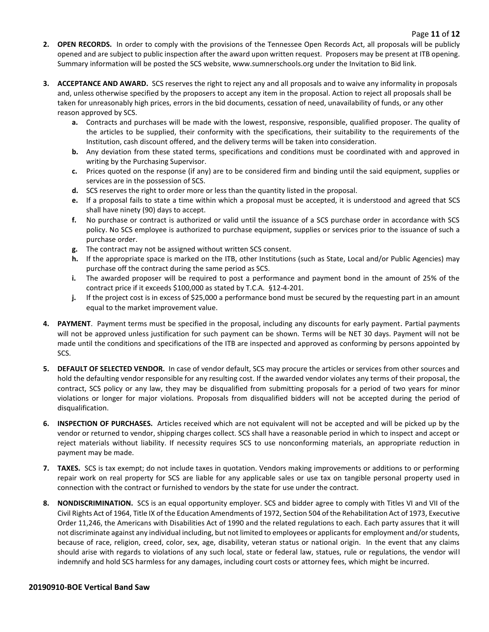- **2. OPEN RECORDS.** In order to comply with the provisions of the Tennessee Open Records Act, all proposals will be publicly opened and are subject to public inspection after the award upon written request. Proposers may be present at ITB opening. Summary information will be posted the SCS website, www.sumnerschools.org under the Invitation to Bid link.
- **3. ACCEPTANCE AND AWARD.** SCS reserves the right to reject any and all proposals and to waive any informality in proposals and, unless otherwise specified by the proposers to accept any item in the proposal. Action to reject all proposals shall be taken for unreasonably high prices, errors in the bid documents, cessation of need, unavailability of funds, or any other reason approved by SCS.
	- **a.** Contracts and purchases will be made with the lowest, responsive, responsible, qualified proposer. The quality of the articles to be supplied, their conformity with the specifications, their suitability to the requirements of the Institution, cash discount offered, and the delivery terms will be taken into consideration.
	- **b.** Any deviation from these stated terms, specifications and conditions must be coordinated with and approved in writing by the Purchasing Supervisor.
	- **c.** Prices quoted on the response (if any) are to be considered firm and binding until the said equipment, supplies or services are in the possession of SCS.
	- **d.** SCS reserves the right to order more or less than the quantity listed in the proposal.
	- **e.** If a proposal fails to state a time within which a proposal must be accepted, it is understood and agreed that SCS shall have ninety (90) days to accept.
	- **f.** No purchase or contract is authorized or valid until the issuance of a SCS purchase order in accordance with SCS policy. No SCS employee is authorized to purchase equipment, supplies or services prior to the issuance of such a purchase order.
	- **g.** The contract may not be assigned without written SCS consent.
	- **h.** If the appropriate space is marked on the ITB, other Institutions (such as State, Local and/or Public Agencies) may purchase off the contract during the same period as SCS.
	- **i.** The awarded proposer will be required to post a performance and payment bond in the amount of 25% of the contract price if it exceeds \$100,000 as stated by T.C.A. §12-4-201.
	- **j.** If the project cost is in excess of \$25,000 a performance bond must be secured by the requesting part in an amount equal to the market improvement value.
- **4. PAYMENT**. Payment terms must be specified in the proposal, including any discounts for early payment. Partial payments will not be approved unless justification for such payment can be shown. Terms will be NET 30 days. Payment will not be made until the conditions and specifications of the ITB are inspected and approved as conforming by persons appointed by SCS.
- **5. DEFAULT OF SELECTED VENDOR.** In case of vendor default, SCS may procure the articles or services from other sources and hold the defaulting vendor responsible for any resulting cost. If the awarded vendor violates any terms of their proposal, the contract, SCS policy or any law, they may be disqualified from submitting proposals for a period of two years for minor violations or longer for major violations. Proposals from disqualified bidders will not be accepted during the period of disqualification.
- **6. INSPECTION OF PURCHASES.** Articles received which are not equivalent will not be accepted and will be picked up by the vendor or returned to vendor, shipping charges collect. SCS shall have a reasonable period in which to inspect and accept or reject materials without liability. If necessity requires SCS to use nonconforming materials, an appropriate reduction in payment may be made.
- **7. TAXES.** SCS is tax exempt; do not include taxes in quotation. Vendors making improvements or additions to or performing repair work on real property for SCS are liable for any applicable sales or use tax on tangible personal property used in connection with the contract or furnished to vendors by the state for use under the contract.
- **8. NONDISCRIMINATION.** SCS is an equal opportunity employer. SCS and bidder agree to comply with Titles VI and VII of the Civil Rights Act of 1964, Title IX of the Education Amendments of 1972, Section 504 of the Rehabilitation Act of 1973, Executive Order 11,246, the Americans with Disabilities Act of 1990 and the related regulations to each. Each party assures that it will not discriminate against any individual including, but not limited to employees or applicants for employment and/or students, because of race, religion, creed, color, sex, age, disability, veteran status or national origin. In the event that any claims should arise with regards to violations of any such local, state or federal law, statues, rule or regulations, the vendor will indemnify and hold SCS harmless for any damages, including court costs or attorney fees, which might be incurred.